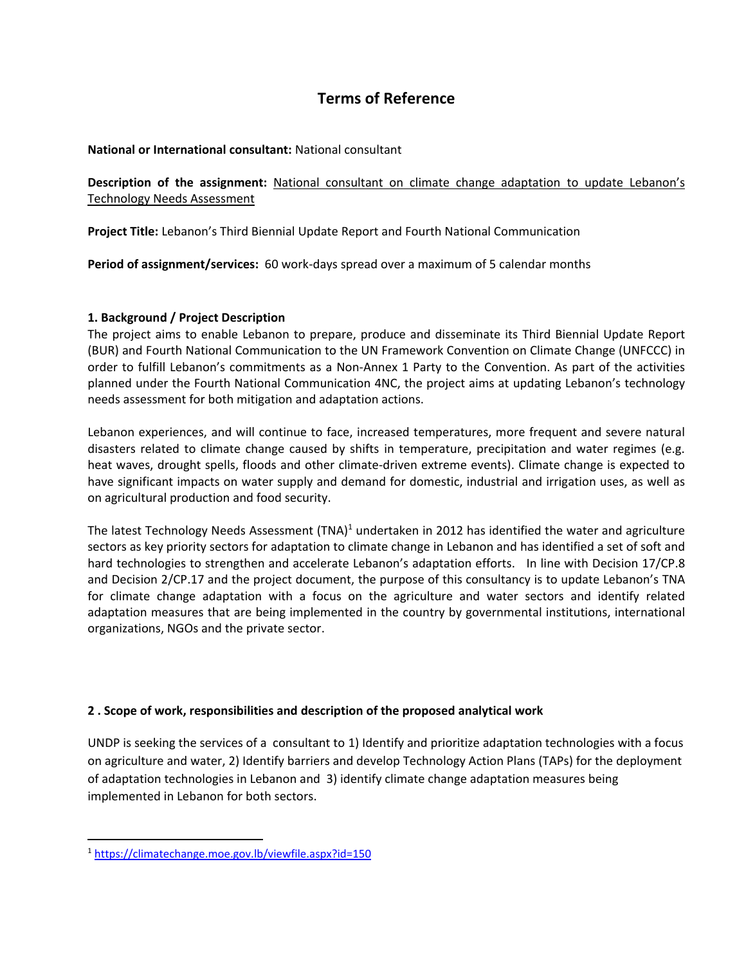# **Terms of Reference**

## **National or International consultant:** National consultant

**Description of the assignment:** National consultant on climate change adaptation to update Lebanon's Technology Needs Assessment

**Project Title:** Lebanon's Third Biennial Update Report and Fourth National Communication

**Period of assignment/services:** 60 work-days spread over a maximum of 5 calendar months

# **1. Background / Project Description**

The project aims to enable Lebanon to prepare, produce and disseminate its Third Biennial Update Report (BUR) and Fourth National Communication to the UN Framework Convention on Climate Change (UNFCCC) in order to fulfill Lebanon's commitments as a Non-Annex 1 Party to the Convention. As part of the activities planned under the Fourth National Communication 4NC, the project aims at updating Lebanon's technology needs assessment for both mitigation and adaptation actions.

Lebanon experiences, and will continue to face, increased temperatures, more frequent and severe natural disasters related to climate change caused by shifts in temperature, precipitation and water regimes (e.g. heat waves, drought spells, floods and other climate-driven extreme events). Climate change is expected to have significant impacts on water supply and demand for domestic, industrial and irrigation uses, as well as on agricultural production and food security.

The latest Technology Needs Assessment  $(TNA)^1$  undertaken in 2012 has identified the water and agriculture sectors as key priority sectors for adaptation to climate change in Lebanon and has identified a set of soft and hard technologies to strengthen and accelerate Lebanon's adaptation efforts. In line with Decision 17/CP.8 and Decision 2/CP.17 and the project document, the purpose of this consultancy is to update Lebanon's TNA for climate change adaptation with a focus on the agriculture and water sectors and identify related adaptation measures that are being implemented in the country by governmental institutions, international organizations, NGOs and the private sector.

# **2 . Scope of work, responsibilities and description of the proposed analytical work**

UNDP is seeking the services of a consultant to 1) Identify and prioritize adaptation technologies with a focus on agriculture and water, 2) Identify barriers and develop Technology Action Plans (TAPs) for the deployment of adaptation technologies in Lebanon and 3) identify climate change adaptation measures being implemented in Lebanon for both sectors.

<sup>1</sup> <https://climatechange.moe.gov.lb/viewfile.aspx?id=150>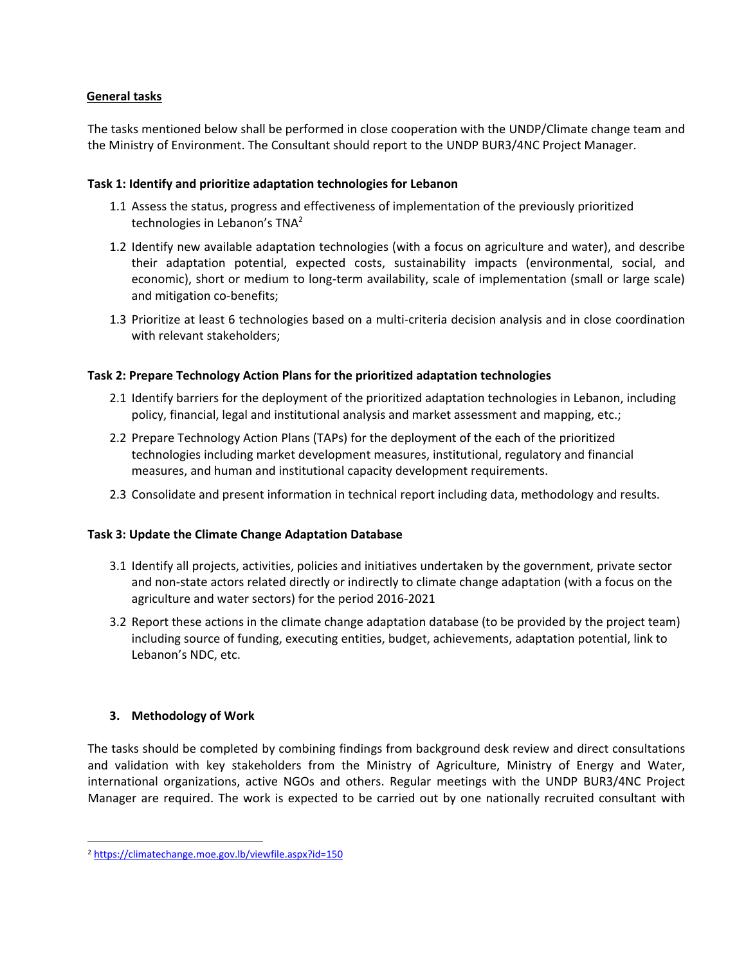# **General tasks**

The tasks mentioned below shall be performed in close cooperation with the UNDP/Climate change team and the Ministry of Environment. The Consultant should report to the UNDP BUR3/4NC Project Manager.

# **Task 1: Identify and prioritize adaptation technologies for Lebanon**

- 1.1 Assess the status, progress and effectiveness of implementation of the previously prioritized technologies in Lebanon's TNA<sup>2</sup>
- 1.2 Identify new available adaptation technologies (with a focus on agriculture and water), and describe their adaptation potential, expected costs, sustainability impacts (environmental, social, and economic), short or medium to long-term availability, scale of implementation (small or large scale) and mitigation co-benefits;
- 1.3 Prioritize at least 6 technologies based on a multi-criteria decision analysis and in close coordination with relevant stakeholders;

# **Task 2: Prepare Technology Action Plans for the prioritized adaptation technologies**

- 2.1 Identify barriers for the deployment of the prioritized adaptation technologies in Lebanon, including policy, financial, legal and institutional analysis and market assessment and mapping, etc.;
- 2.2 Prepare Technology Action Plans (TAPs) for the deployment of the each of the prioritized technologies including market development measures, institutional, regulatory and financial measures, and human and institutional capacity development requirements.
- 2.3 Consolidate and present information in technical report including data, methodology and results.

## **Task 3: Update the Climate Change Adaptation Database**

- 3.1 Identify all projects, activities, policies and initiatives undertaken by the government, private sector and non-state actors related directly or indirectly to climate change adaptation (with a focus on the agriculture and water sectors) for the period 2016-2021
- 3.2 Report these actions in the climate change adaptation database (to be provided by the project team) including source of funding, executing entities, budget, achievements, adaptation potential, link to Lebanon's NDC, etc.

## **3. Methodology of Work**

The tasks should be completed by combining findings from background desk review and direct consultations and validation with key stakeholders from the Ministry of Agriculture, Ministry of Energy and Water, international organizations, active NGOs and others. Regular meetings with the UNDP BUR3/4NC Project Manager are required. The work is expected to be carried out by one nationally recruited consultant with

<sup>2</sup> <https://climatechange.moe.gov.lb/viewfile.aspx?id=150>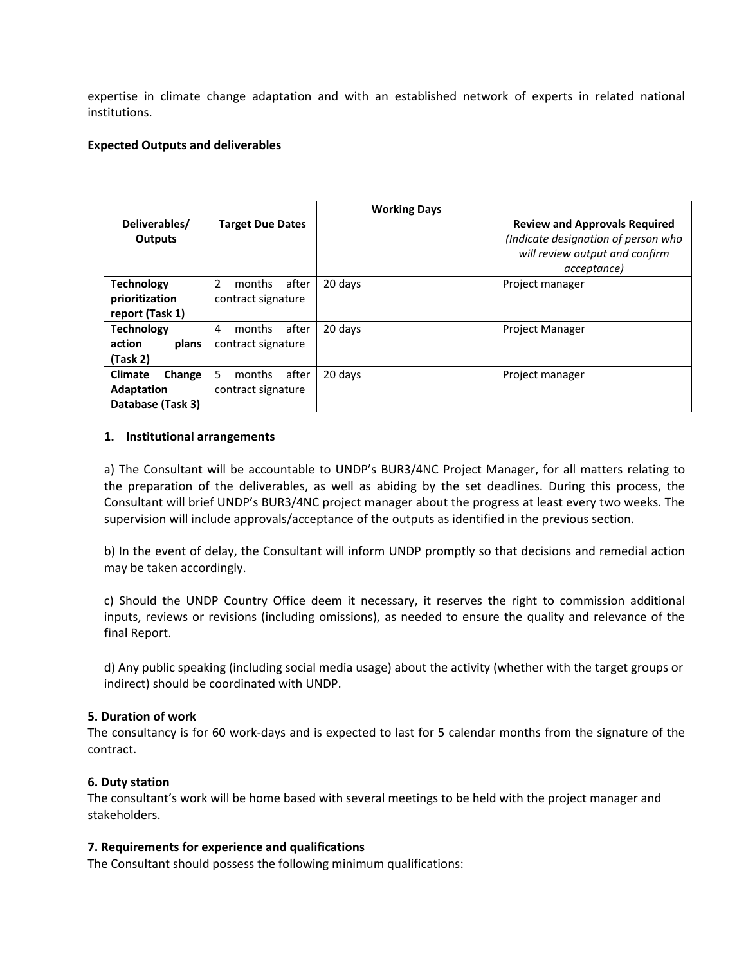expertise in climate change adaptation and with an established network of experts in related national institutions.

#### **Expected Outputs and deliverables**

|                          |                         | <b>Working Days</b> |                                      |
|--------------------------|-------------------------|---------------------|--------------------------------------|
| Deliverables/            | <b>Target Due Dates</b> |                     | <b>Review and Approvals Required</b> |
| <b>Outputs</b>           |                         |                     | (Indicate designation of person who  |
|                          |                         |                     | will review output and confirm       |
|                          |                         |                     | acceptance)                          |
| <b>Technology</b>        | 2<br>months<br>after    | 20 days             | Project manager                      |
| prioritization           | contract signature      |                     |                                      |
| report (Task 1)          |                         |                     |                                      |
| <b>Technology</b>        | after<br>months<br>4    | 20 days             | <b>Project Manager</b>               |
| action<br>plans          | contract signature      |                     |                                      |
| (Task 2)                 |                         |                     |                                      |
| <b>Climate</b><br>Change | 5<br>after<br>months    | 20 days             | Project manager                      |
| <b>Adaptation</b>        | contract signature      |                     |                                      |
| Database (Task 3)        |                         |                     |                                      |

#### **1. Institutional arrangements**

a) The Consultant will be accountable to UNDP's BUR3/4NC Project Manager, for all matters relating to the preparation of the deliverables, as well as abiding by the set deadlines. During this process, the Consultant will brief UNDP's BUR3/4NC project manager about the progress at least every two weeks. The supervision will include approvals/acceptance of the outputs as identified in the previous section.

b) In the event of delay, the Consultant will inform UNDP promptly so that decisions and remedial action may be taken accordingly.

c) Should the UNDP Country Office deem it necessary, it reserves the right to commission additional inputs, reviews or revisions (including omissions), as needed to ensure the quality and relevance of the final Report.

d) Any public speaking (including social media usage) about the activity (whether with the target groups or indirect) should be coordinated with UNDP.

#### **5. Duration of work**

The consultancy is for 60 work-days and is expected to last for 5 calendar months from the signature of the contract.

#### **6. Duty station**

The consultant's work will be home based with several meetings to be held with the project manager and stakeholders.

#### **7. Requirements for experience and qualifications**

The Consultant should possess the following minimum qualifications: